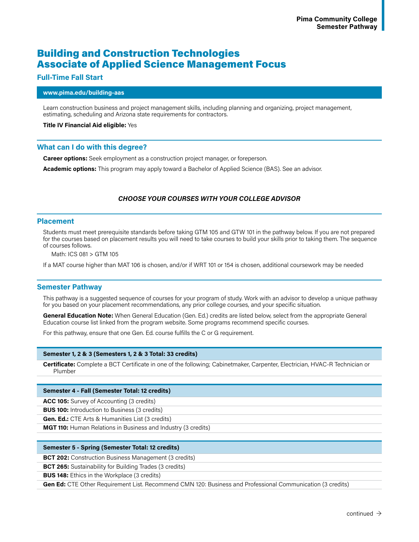# Building and Construction Technologies Associate of Applied Science Management Focus

# **Full-Time Fall Start**

### **www.pima.edu/building-aas**

Learn construction business and project management skills, including planning and organizing, project management, estimating, scheduling and Arizona state requirements for contractors.

### **Title IV Financial Aid eligible:** Yes

## **What can I do with this degree?**

**Career options:** Seek employment as a construction project manager, or foreperson.

**Academic options:** This program may apply toward a Bachelor of Applied Science (BAS). See an advisor.

# *CHOOSE YOUR COURSES WITH YOUR COLLEGE ADVISOR*

## **Placement**

Students must meet prerequisite standards before taking GTM 105 and GTW 101 in the pathway below. If you are not prepared for the courses based on placement results you will need to take courses to build your skills prior to taking them. The sequence of courses follows.

Math: ICS 081 > GTM 105

If a MAT course higher than MAT 106 is chosen, and/or if WRT 101 or 154 is chosen, additional coursework may be needed

# **Semester Pathway**

This pathway is a suggested sequence of courses for your program of study. Work with an advisor to develop a unique pathway for you based on your placement recommendations, any prior college courses, and your specific situation.

**General Education Note:** When General Education (Gen. Ed.) credits are listed below, select from the appropriate General Education course list linked from the program website. Some programs recommend specific courses.

For this pathway, ensure that one Gen. Ed. course fulfills the C or G requirement.

#### **Semester 1, 2 & 3 (Semesters 1, 2 & 3 Total: 33 credits)**

**Certificate:** Complete a BCT Certificate in one of the following; Cabinetmaker, Carpenter, Electrician, HVAC-R Technician or Plumber

## **Semester 4 - Fall (Semester Total: 12 credits)**

**ACC 105:** Survey of Accounting (3 credits)

**BUS 100:** Introduction to Business (3 credits)

**Gen. Ed.:** CTE Arts & Humanities List (3 credits)

**MGT 110:** Human Relations in Business and Industry (3 credits)

#### **Semester 5 - Spring (Semester Total: 12 credits)**

**BCT 202:** Construction Business Management (3 credits)

**BCT 265:** Sustainability for Building Trades (3 credits)

**BUS 148:** Ethics in the Workplace (3 credits)

**Gen Ed:** CTE Other Requirement List. Recommend CMN 120: Business and Professional Communication (3 credits)